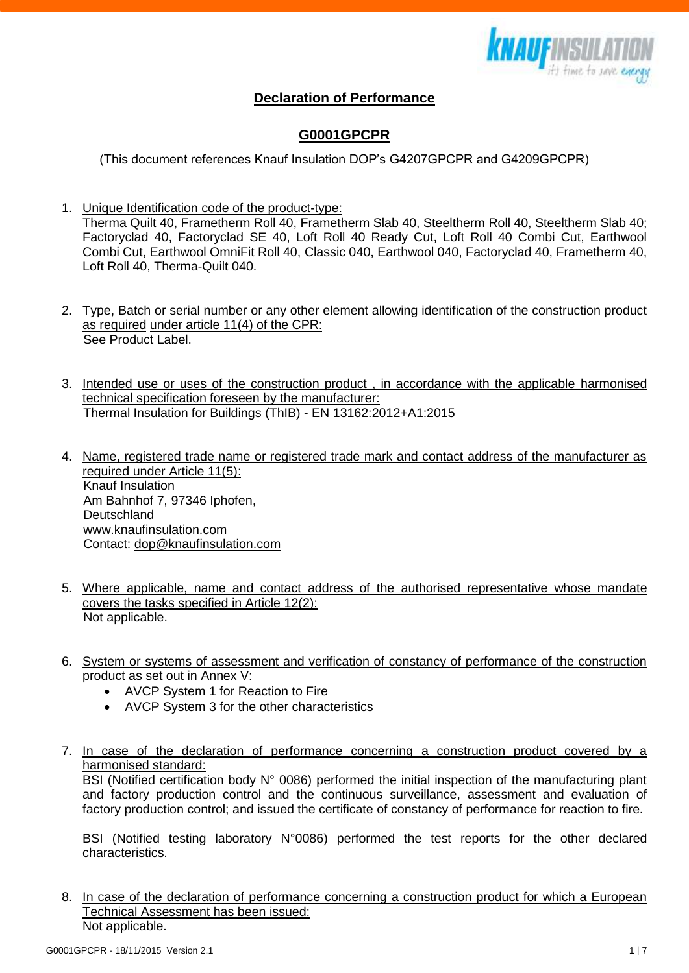

## **Declaration of Performance**

## **G0001GPCPR**

(This document references Knauf Insulation DOP's G4207GPCPR and G4209GPCPR)

- 1. Unique Identification code of the product-type: Therma Quilt 40, Frametherm Roll 40, Frametherm Slab 40, Steeltherm Roll 40, Steeltherm Slab 40; Factoryclad 40, Factoryclad SE 40, Loft Roll 40 Ready Cut, Loft Roll 40 Combi Cut, Earthwool Combi Cut, Earthwool OmniFit Roll 40, Classic 040, Earthwool 040, Factoryclad 40, Frametherm 40, Loft Roll 40, Therma-Quilt 040.
- 2. Type, Batch or serial number or any other element allowing identification of the construction product as required under article 11(4) of the CPR: See Product Label.
- 3. Intended use or uses of the construction product , in accordance with the applicable harmonised technical specification foreseen by the manufacturer: Thermal Insulation for Buildings (ThIB) - EN 13162:2012+A1:2015
- 4. Name, registered trade name or registered trade mark and contact address of the manufacturer as required under Article 11(5): Knauf Insulation Am Bahnhof 7, 97346 Iphofen, **Deutschland** [www.knaufinsulation.com](http://www.knaufinsulation.com/) Contact: [dop@knaufinsulation.com](mailto:dop@knaufinsulation.com)
- 5. Where applicable, name and contact address of the authorised representative whose mandate covers the tasks specified in Article 12(2): Not applicable.
- 6. System or systems of assessment and verification of constancy of performance of the construction product as set out in Annex V:
	- AVCP System 1 for Reaction to Fire
	- AVCP System 3 for the other characteristics
- 7. In case of the declaration of performance concerning a construction product covered by a harmonised standard:

BSI (Notified certification body N° 0086) performed the initial inspection of the manufacturing plant and factory production control and the continuous surveillance, assessment and evaluation of factory production control; and issued the certificate of constancy of performance for reaction to fire.

BSI (Notified testing laboratory N°0086) performed the test reports for the other declared characteristics.

8. In case of the declaration of performance concerning a construction product for which a European Technical Assessment has been issued: Not applicable.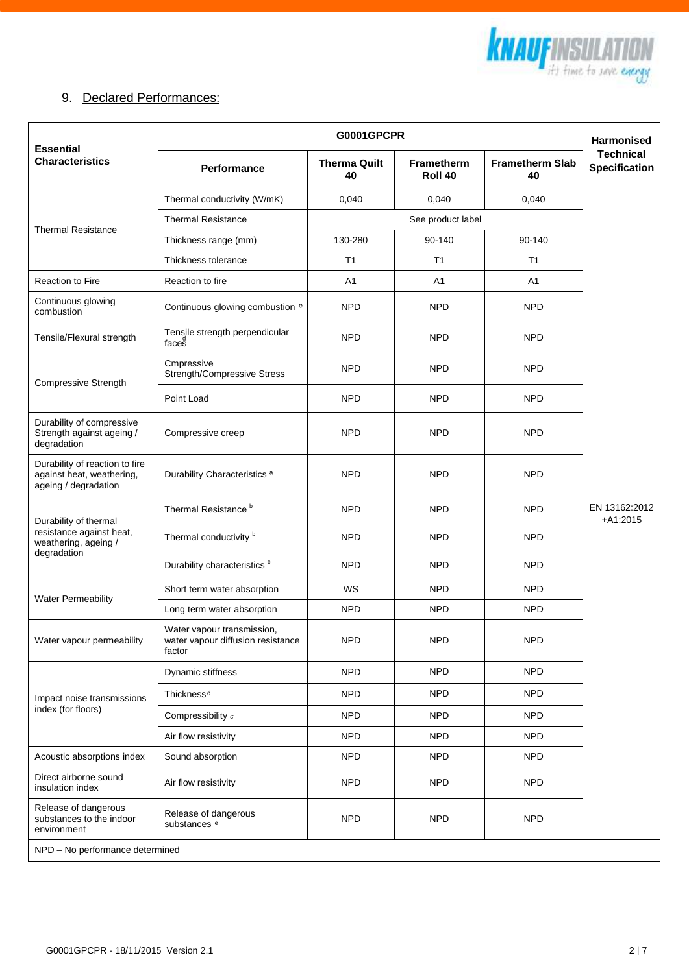

## 9. Declared Performances:

| <b>Essential</b><br><b>Characteristics</b>                                          | <b>G0001GPCPR</b>                                                         |                           |                              |                              |                                          |  |  |
|-------------------------------------------------------------------------------------|---------------------------------------------------------------------------|---------------------------|------------------------------|------------------------------|------------------------------------------|--|--|
|                                                                                     | <b>Performance</b>                                                        | <b>Therma Quilt</b><br>40 | <b>Frametherm</b><br>Roll 40 | <b>Frametherm Slab</b><br>40 | <b>Technical</b><br><b>Specification</b> |  |  |
| <b>Thermal Resistance</b>                                                           | Thermal conductivity (W/mK)                                               | 0.040                     | 0,040                        | 0,040                        |                                          |  |  |
|                                                                                     | <b>Thermal Resistance</b>                                                 |                           |                              |                              |                                          |  |  |
|                                                                                     | Thickness range (mm)                                                      | 130-280                   | 90-140                       | 90-140                       |                                          |  |  |
|                                                                                     | Thickness tolerance                                                       | T1                        | T1                           | T <sub>1</sub>               |                                          |  |  |
| Reaction to Fire                                                                    | Reaction to fire                                                          | A1                        | A1                           | A1                           |                                          |  |  |
| Continuous glowing<br>combustion                                                    | Continuous glowing combustion <sup>e</sup>                                | <b>NPD</b>                | <b>NPD</b>                   | <b>NPD</b>                   |                                          |  |  |
| Tensile/Flexural strength                                                           | Tensile strength perpendicular<br>face <sub>s</sub>                       | <b>NPD</b>                | <b>NPD</b>                   | <b>NPD</b>                   |                                          |  |  |
| Compressive Strength                                                                | Cmpressive<br>Strength/Compressive Stress                                 | <b>NPD</b>                | <b>NPD</b>                   | <b>NPD</b>                   |                                          |  |  |
|                                                                                     | Point Load                                                                | <b>NPD</b>                | <b>NPD</b>                   | <b>NPD</b>                   |                                          |  |  |
| Durability of compressive<br>Strength against ageing /<br>degradation               | Compressive creep                                                         | <b>NPD</b>                | <b>NPD</b>                   | <b>NPD</b>                   |                                          |  |  |
| Durability of reaction to fire<br>against heat, weathering,<br>ageing / degradation | Durability Characteristics <sup>a</sup>                                   | <b>NPD</b>                | <b>NPD</b>                   | <b>NPD</b>                   |                                          |  |  |
| Durability of thermal<br>resistance against heat,<br>weathering, ageing /           | Thermal Resistance <sup>b</sup>                                           | <b>NPD</b>                | <b>NPD</b>                   | <b>NPD</b>                   | EN 13162:2012<br>$+A1:2015$              |  |  |
|                                                                                     | Thermal conductivity <sup>b</sup>                                         | <b>NPD</b>                | <b>NPD</b>                   | <b>NPD</b>                   |                                          |  |  |
| degradation                                                                         | Durability characteristics °                                              | <b>NPD</b>                | <b>NPD</b>                   | <b>NPD</b>                   |                                          |  |  |
| <b>Water Permeability</b>                                                           | Short term water absorption                                               | WS                        | <b>NPD</b>                   | <b>NPD</b>                   |                                          |  |  |
|                                                                                     | Long term water absorption                                                | <b>NPD</b>                | <b>NPD</b>                   | <b>NPD</b>                   |                                          |  |  |
| Water vapour permeability                                                           | Water vapour transmission,<br>water vapour diffusion resistance<br>factor | <b>NPD</b>                | <b>NPD</b>                   | NPD                          |                                          |  |  |
|                                                                                     | Dynamic stiffness                                                         | <b>NPD</b>                | <b>NPD</b>                   | <b>NPD</b>                   |                                          |  |  |
| Impact noise transmissions                                                          | Thickness <sup>d</sup>                                                    | <b>NPD</b>                | <b>NPD</b>                   | <b>NPD</b>                   |                                          |  |  |
| index (for floors)                                                                  | Compressibility c                                                         | <b>NPD</b>                | <b>NPD</b>                   | <b>NPD</b>                   |                                          |  |  |
|                                                                                     | Air flow resistivity                                                      | <b>NPD</b>                | NPD.                         | <b>NPD</b>                   |                                          |  |  |
| Acoustic absorptions index                                                          | Sound absorption                                                          | <b>NPD</b>                | <b>NPD</b>                   | <b>NPD</b>                   |                                          |  |  |
| Direct airborne sound<br>insulation index                                           | Air flow resistivity                                                      | <b>NPD</b>                | <b>NPD</b>                   | <b>NPD</b>                   |                                          |  |  |
| Release of dangerous<br>substances to the indoor<br>environment                     | Release of dangerous<br>substances <sup>e</sup>                           | <b>NPD</b>                | <b>NPD</b>                   | <b>NPD</b>                   |                                          |  |  |
| NPD - No performance determined                                                     |                                                                           |                           |                              |                              |                                          |  |  |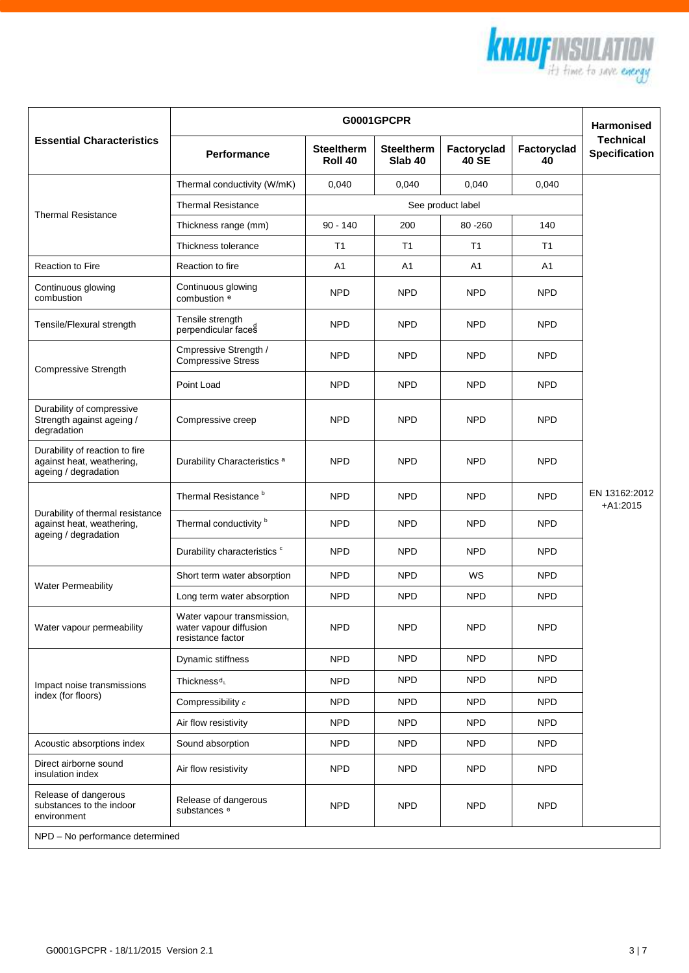

|                                                                                       | <b>G0001GPCPR</b>                                                         |                              |                                  |                             |                   | <b>Harmonised</b>                        |
|---------------------------------------------------------------------------------------|---------------------------------------------------------------------------|------------------------------|----------------------------------|-----------------------------|-------------------|------------------------------------------|
| <b>Essential Characteristics</b>                                                      | Performance                                                               | <b>Steeltherm</b><br>Roll 40 | Steeltherm<br>Slab <sub>40</sub> | Factoryclad<br><b>40 SE</b> | Factoryclad<br>40 | <b>Technical</b><br><b>Specification</b> |
|                                                                                       | Thermal conductivity (W/mK)                                               | 0,040                        | 0,040                            | 0,040                       | 0,040             |                                          |
| <b>Thermal Resistance</b>                                                             | <b>Thermal Resistance</b>                                                 | See product label            |                                  |                             |                   |                                          |
|                                                                                       | Thickness range (mm)                                                      | $90 - 140$                   | 200                              | 80 - 260                    | 140               |                                          |
|                                                                                       | Thickness tolerance                                                       | T1                           | T1                               | T <sub>1</sub>              | T1                |                                          |
| <b>Reaction to Fire</b>                                                               | Reaction to fire                                                          | A <sub>1</sub>               | A <sub>1</sub>                   | A1                          | A1                |                                          |
| Continuous glowing<br>combustion                                                      | Continuous glowing<br>combustion <sup>e</sup>                             | <b>NPD</b>                   | <b>NPD</b>                       | <b>NPD</b>                  | <b>NPD</b>        |                                          |
| Tensile/Flexural strength                                                             | Tensile strength<br>perpendicular faces                                   | <b>NPD</b>                   | <b>NPD</b>                       | <b>NPD</b>                  | <b>NPD</b>        |                                          |
| <b>Compressive Strength</b>                                                           | Cmpressive Strength /<br><b>Compressive Stress</b>                        | <b>NPD</b>                   | NPD                              | <b>NPD</b>                  | <b>NPD</b>        |                                          |
|                                                                                       | Point Load                                                                | <b>NPD</b>                   | <b>NPD</b>                       | <b>NPD</b>                  | <b>NPD</b>        |                                          |
| Durability of compressive<br>Strength against ageing /<br>degradation                 | Compressive creep                                                         | <b>NPD</b>                   | <b>NPD</b>                       | <b>NPD</b>                  | <b>NPD</b>        |                                          |
| Durability of reaction to fire<br>against heat, weathering,<br>ageing / degradation   | Durability Characteristics <sup>a</sup>                                   | <b>NPD</b>                   | <b>NPD</b>                       | <b>NPD</b>                  | <b>NPD</b>        |                                          |
|                                                                                       | Thermal Resistance <sup>b</sup>                                           | <b>NPD</b>                   | <b>NPD</b>                       | <b>NPD</b>                  | <b>NPD</b>        | EN 13162:2012<br>$+A1:2015$              |
| Durability of thermal resistance<br>against heat, weathering,<br>ageing / degradation | Thermal conductivity <sup>b</sup>                                         | <b>NPD</b>                   | NPD                              | <b>NPD</b>                  | <b>NPD</b>        |                                          |
|                                                                                       | Durability characteristics c                                              | <b>NPD</b>                   | NPD                              | <b>NPD</b>                  | <b>NPD</b>        |                                          |
|                                                                                       | Short term water absorption                                               | <b>NPD</b>                   | <b>NPD</b>                       | <b>WS</b>                   | <b>NPD</b>        |                                          |
| <b>Water Permeability</b>                                                             | Long term water absorption                                                | <b>NPD</b>                   | NPD                              | <b>NPD</b>                  | <b>NPD</b>        |                                          |
| Water vapour permeability                                                             | Water vapour transmission,<br>water vapour diffusion<br>resistance factor | <b>NPD</b>                   | <b>NPD</b>                       | <b>NPD</b>                  | <b>NPD</b>        |                                          |
|                                                                                       | Dynamic stiffness                                                         | <b>NPD</b>                   | <b>NPD</b>                       | <b>NPD</b>                  | <b>NPD</b>        |                                          |
| Impact noise transmissions                                                            | Thickness <sup>d</sup>                                                    | <b>NPD</b>                   | <b>NPD</b>                       | <b>NPD</b>                  | <b>NPD</b>        |                                          |
| index (for floors)                                                                    | Compressibility c                                                         | <b>NPD</b>                   | <b>NPD</b>                       | <b>NPD</b>                  | <b>NPD</b>        |                                          |
|                                                                                       | Air flow resistivity                                                      | <b>NPD</b>                   | <b>NPD</b>                       | <b>NPD</b>                  | <b>NPD</b>        |                                          |
| Acoustic absorptions index                                                            | Sound absorption                                                          | <b>NPD</b>                   | <b>NPD</b>                       | <b>NPD</b>                  | <b>NPD</b>        |                                          |
| Direct airborne sound<br>insulation index                                             | Air flow resistivity                                                      | <b>NPD</b>                   | <b>NPD</b>                       | <b>NPD</b>                  | <b>NPD</b>        |                                          |
| Release of dangerous<br>substances to the indoor<br>environment                       | Release of dangerous<br>substances <sup>e</sup>                           | <b>NPD</b>                   | <b>NPD</b>                       | <b>NPD</b>                  | <b>NPD</b>        |                                          |
| NPD - No performance determined                                                       |                                                                           |                              |                                  |                             |                   |                                          |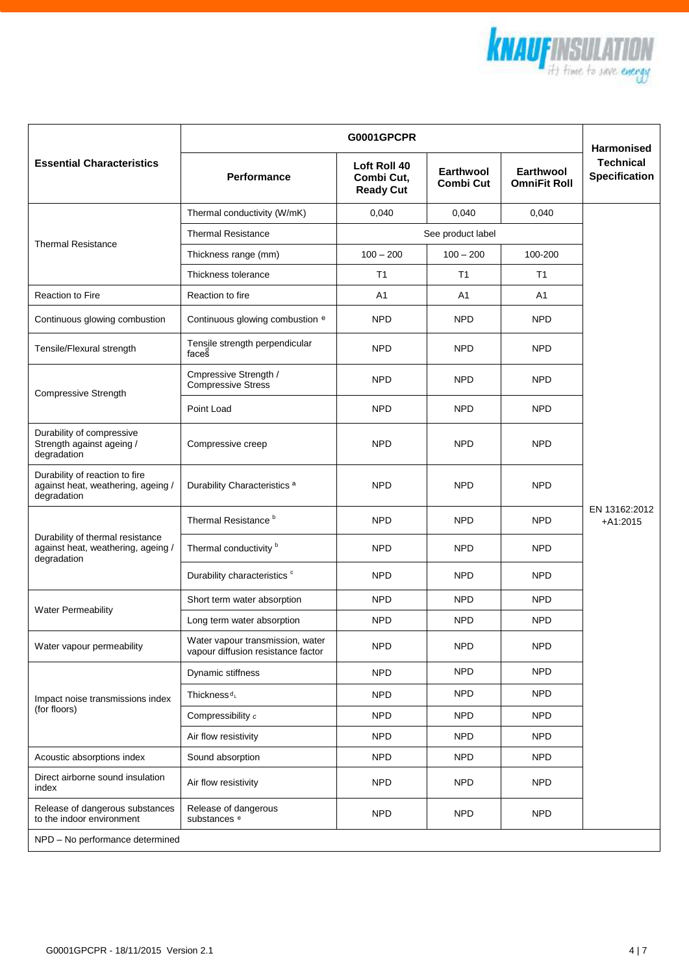

|                                                                                       |                                                                        | <b>Harmonised</b>                              |                                      |                                         |                                          |  |
|---------------------------------------------------------------------------------------|------------------------------------------------------------------------|------------------------------------------------|--------------------------------------|-----------------------------------------|------------------------------------------|--|
| <b>Essential Characteristics</b>                                                      | <b>Performance</b>                                                     | Loft Roll 40<br>Combi Cut,<br><b>Ready Cut</b> | <b>Earthwool</b><br><b>Combi Cut</b> | <b>Earthwool</b><br><b>OmniFit Roll</b> | <b>Technical</b><br><b>Specification</b> |  |
|                                                                                       | Thermal conductivity (W/mK)                                            | 0,040                                          | 0,040                                | 0,040                                   |                                          |  |
|                                                                                       | <b>Thermal Resistance</b>                                              |                                                | See product label                    |                                         |                                          |  |
| <b>Thermal Resistance</b>                                                             | Thickness range (mm)                                                   | $100 - 200$                                    | $100 - 200$                          | 100-200                                 |                                          |  |
|                                                                                       | Thickness tolerance                                                    | T1                                             | T <sub>1</sub>                       | T <sub>1</sub>                          |                                          |  |
| Reaction to Fire                                                                      | Reaction to fire                                                       | A1                                             | A1                                   | A <sub>1</sub>                          |                                          |  |
| Continuous glowing combustion                                                         | Continuous glowing combustion <sup>e</sup>                             | <b>NPD</b>                                     | <b>NPD</b>                           | <b>NPD</b>                              |                                          |  |
| Tensile/Flexural strength                                                             | Tensile strength perpendicular<br>faces                                | <b>NPD</b>                                     | <b>NPD</b>                           | <b>NPD</b>                              |                                          |  |
| Compressive Strength                                                                  | Cmpressive Strength /<br><b>Compressive Stress</b>                     | <b>NPD</b>                                     | <b>NPD</b>                           | <b>NPD</b>                              |                                          |  |
|                                                                                       | Point Load                                                             | <b>NPD</b>                                     | <b>NPD</b>                           | <b>NPD</b>                              | EN 13162:2012<br>$+A1:2015$              |  |
| Durability of compressive<br>Strength against ageing /<br>degradation                 | Compressive creep                                                      | <b>NPD</b>                                     | <b>NPD</b>                           | <b>NPD</b>                              |                                          |  |
| Durability of reaction to fire<br>against heat, weathering, ageing /<br>degradation   | Durability Characteristics <sup>a</sup>                                | <b>NPD</b>                                     | <b>NPD</b>                           | <b>NPD</b>                              |                                          |  |
|                                                                                       | Thermal Resistance <sup>b</sup>                                        | <b>NPD</b>                                     | <b>NPD</b>                           | <b>NPD</b>                              |                                          |  |
| Durability of thermal resistance<br>against heat, weathering, ageing /<br>degradation | Thermal conductivity <sup>b</sup>                                      | <b>NPD</b>                                     | <b>NPD</b>                           | <b>NPD</b>                              |                                          |  |
|                                                                                       | Durability characteristics °                                           | <b>NPD</b>                                     | <b>NPD</b>                           | <b>NPD</b>                              |                                          |  |
|                                                                                       | Short term water absorption                                            | <b>NPD</b>                                     | <b>NPD</b>                           | <b>NPD</b>                              |                                          |  |
| <b>Water Permeability</b>                                                             | Long term water absorption                                             | <b>NPD</b>                                     | <b>NPD</b>                           | <b>NPD</b>                              |                                          |  |
| Water vapour permeability                                                             | Water vapour transmission, water<br>vapour diffusion resistance factor | <b>NPD</b>                                     | <b>NPD</b>                           | <b>NPD</b>                              |                                          |  |
|                                                                                       | Dynamic stiffness                                                      | <b>NPD</b>                                     | <b>NPD</b>                           | <b>NPD</b>                              |                                          |  |
| Impact noise transmissions index                                                      | Thickness <sup>d</sup>                                                 | <b>NPD</b>                                     | <b>NPD</b>                           | <b>NPD</b>                              |                                          |  |
| (for floors)                                                                          | Compressibility c                                                      | <b>NPD</b>                                     | <b>NPD</b>                           | <b>NPD</b>                              |                                          |  |
|                                                                                       | Air flow resistivity                                                   | <b>NPD</b>                                     | <b>NPD</b>                           | <b>NPD</b>                              |                                          |  |
| Acoustic absorptions index                                                            | Sound absorption                                                       | <b>NPD</b>                                     | <b>NPD</b>                           | <b>NPD</b>                              |                                          |  |
| Direct airborne sound insulation<br>index                                             | Air flow resistivity                                                   | <b>NPD</b>                                     | <b>NPD</b>                           | <b>NPD</b>                              |                                          |  |
| Release of dangerous substances<br>to the indoor environment                          | Release of dangerous<br>substances <sup>e</sup>                        | <b>NPD</b>                                     | <b>NPD</b>                           | <b>NPD</b>                              |                                          |  |
| NPD - No performance determined                                                       |                                                                        |                                                |                                      |                                         |                                          |  |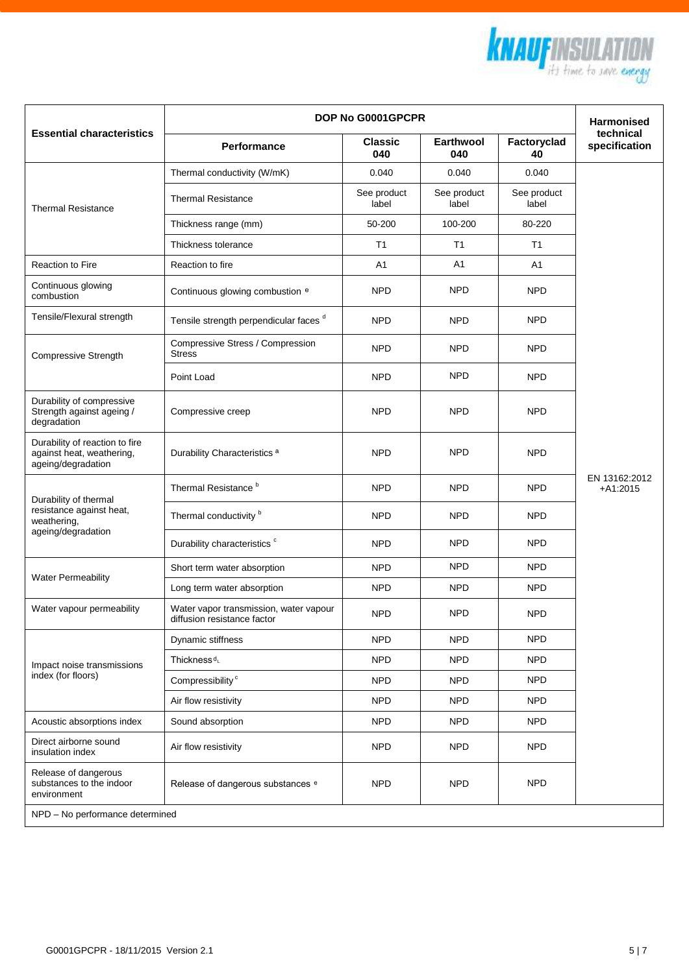

|                                                                                   | DOP No G0001GPCPR                                                     | <b>Harmonised</b>     |                      |                      |                             |  |
|-----------------------------------------------------------------------------------|-----------------------------------------------------------------------|-----------------------|----------------------|----------------------|-----------------------------|--|
| <b>Essential characteristics</b>                                                  | <b>Performance</b>                                                    | <b>Classic</b><br>040 | Earthwool<br>040     | Factoryclad<br>40    | technical<br>specification  |  |
| <b>Thermal Resistance</b>                                                         | Thermal conductivity (W/mK)                                           | 0.040                 | 0.040                | 0.040                |                             |  |
|                                                                                   | <b>Thermal Resistance</b>                                             | See product<br>label  | See product<br>label | See product<br>label |                             |  |
|                                                                                   | Thickness range (mm)                                                  | 50-200                | 100-200              | 80-220               |                             |  |
|                                                                                   | Thickness tolerance                                                   | T <sub>1</sub>        | T <sub>1</sub>       | T1                   |                             |  |
| Reaction to Fire                                                                  | Reaction to fire                                                      | A1                    | A <sub>1</sub>       | A1                   |                             |  |
| Continuous glowing<br>combustion                                                  | Continuous glowing combustion <sup>e</sup>                            | <b>NPD</b>            | NPD                  | <b>NPD</b>           |                             |  |
| Tensile/Flexural strength                                                         | Tensile strength perpendicular faces d                                | <b>NPD</b>            | <b>NPD</b>           | <b>NPD</b>           |                             |  |
| <b>Compressive Strength</b>                                                       | Compressive Stress / Compression<br><b>Stress</b>                     | <b>NPD</b>            | <b>NPD</b>           | <b>NPD</b>           |                             |  |
|                                                                                   | Point Load                                                            | <b>NPD</b>            | <b>NPD</b>           | <b>NPD</b>           |                             |  |
| Durability of compressive<br>Strength against ageing /<br>degradation             | Compressive creep                                                     | <b>NPD</b>            | <b>NPD</b>           | <b>NPD</b>           |                             |  |
| Durability of reaction to fire<br>against heat, weathering,<br>ageing/degradation | Durability Characteristics <sup>a</sup>                               | <b>NPD</b>            | <b>NPD</b>           | <b>NPD</b>           | EN 13162:2012<br>$+A1:2015$ |  |
| Durability of thermal                                                             | Thermal Resistance <sup>b</sup>                                       | <b>NPD</b>            | <b>NPD</b>           | <b>NPD</b>           |                             |  |
| resistance against heat,<br>weathering,                                           | Thermal conductivity <sup>b</sup>                                     | <b>NPD</b>            | <b>NPD</b>           | <b>NPD</b>           |                             |  |
| ageing/degradation                                                                | Durability characteristics c                                          | <b>NPD</b>            | <b>NPD</b>           | <b>NPD</b>           |                             |  |
|                                                                                   | Short term water absorption                                           | <b>NPD</b>            | NPD                  | <b>NPD</b>           |                             |  |
| <b>Water Permeability</b>                                                         | Long term water absorption                                            | <b>NPD</b>            | <b>NPD</b>           | <b>NPD</b>           |                             |  |
| Water vapour permeability                                                         | Water vapor transmission, water vapour<br>diffusion resistance factor | <b>NPD</b>            | <b>NPD</b>           | <b>NPD</b>           |                             |  |
| Impact noise transmissions<br>index (for floors)                                  | Dynamic stiffness                                                     | <b>NPD</b>            | <b>NPD</b>           | <b>NPD</b>           |                             |  |
|                                                                                   | Thickness <sup>d</sup>                                                | <b>NPD</b>            | <b>NPD</b>           | <b>NPD</b>           |                             |  |
|                                                                                   | Compressibility <sup>c</sup>                                          | <b>NPD</b>            | <b>NPD</b>           | <b>NPD</b>           |                             |  |
|                                                                                   | Air flow resistivity                                                  | <b>NPD</b>            | <b>NPD</b>           | <b>NPD</b>           |                             |  |
| Acoustic absorptions index                                                        | Sound absorption                                                      | <b>NPD</b>            | <b>NPD</b>           | <b>NPD</b>           |                             |  |
| Direct airborne sound<br>insulation index                                         | Air flow resistivity                                                  | <b>NPD</b>            | <b>NPD</b>           | <b>NPD</b>           |                             |  |
| Release of dangerous<br>substances to the indoor<br>environment                   | Release of dangerous substances <sup>e</sup>                          | <b>NPD</b>            | <b>NPD</b>           | <b>NPD</b>           |                             |  |
| NPD - No performance determined                                                   |                                                                       |                       |                      |                      |                             |  |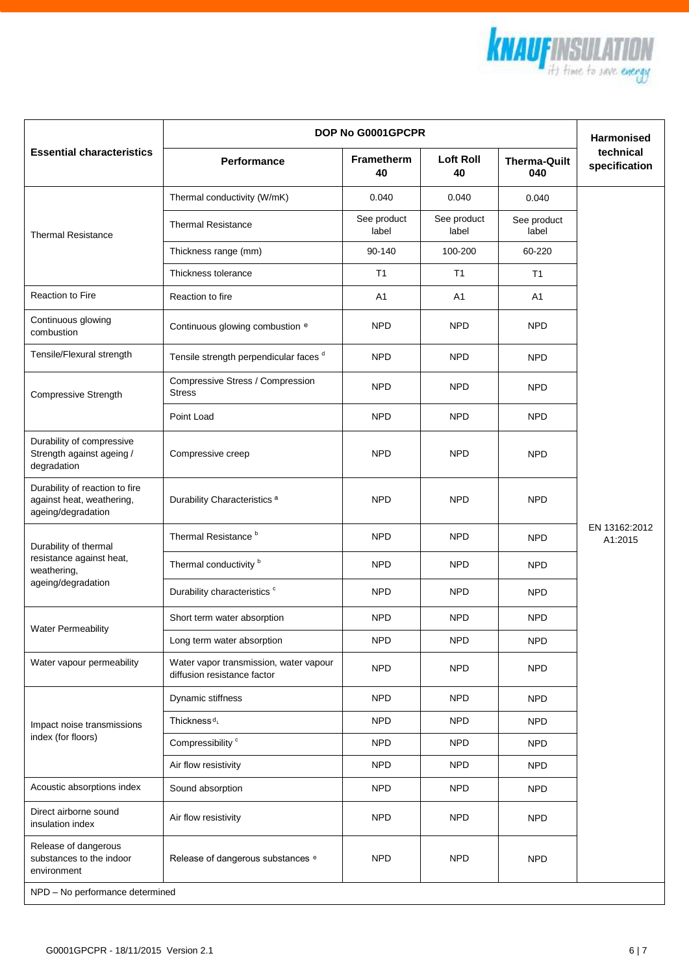

|                                                                                   | DOP No G0001GPCPR                                                     | <b>Harmonised</b>    |                        |                            |                            |  |  |
|-----------------------------------------------------------------------------------|-----------------------------------------------------------------------|----------------------|------------------------|----------------------------|----------------------------|--|--|
| <b>Essential characteristics</b>                                                  | <b>Performance</b>                                                    | Frametherm<br>40     | <b>Loft Roll</b><br>40 | <b>Therma-Quilt</b><br>040 | technical<br>specification |  |  |
| <b>Thermal Resistance</b>                                                         | Thermal conductivity (W/mK)                                           | 0.040                | 0.040                  | 0.040                      |                            |  |  |
|                                                                                   | <b>Thermal Resistance</b>                                             | See product<br>label | See product<br>label   | See product<br>label       |                            |  |  |
|                                                                                   | Thickness range (mm)                                                  | 90-140               | 100-200                | 60-220                     |                            |  |  |
|                                                                                   | Thickness tolerance                                                   | T1                   | T <sub>1</sub>         | T1                         |                            |  |  |
| Reaction to Fire                                                                  | Reaction to fire                                                      | A <sub>1</sub>       | A1                     | A <sub>1</sub>             |                            |  |  |
| Continuous glowing<br>combustion                                                  | Continuous glowing combustion <sup>e</sup>                            | <b>NPD</b>           | <b>NPD</b>             | <b>NPD</b>                 |                            |  |  |
| Tensile/Flexural strength                                                         | Tensile strength perpendicular faces d                                | <b>NPD</b>           | <b>NPD</b>             | <b>NPD</b>                 |                            |  |  |
| Compressive Strength                                                              | Compressive Stress / Compression<br><b>Stress</b>                     | <b>NPD</b>           | <b>NPD</b>             | <b>NPD</b>                 |                            |  |  |
|                                                                                   | Point Load                                                            | <b>NPD</b>           | <b>NPD</b>             | <b>NPD</b>                 |                            |  |  |
| Durability of compressive<br>Strength against ageing /<br>degradation             | Compressive creep                                                     | <b>NPD</b>           | <b>NPD</b>             | <b>NPD</b>                 |                            |  |  |
| Durability of reaction to fire<br>against heat, weathering,<br>ageing/degradation | Durability Characteristics <sup>a</sup>                               | <b>NPD</b>           | <b>NPD</b>             | <b>NPD</b>                 |                            |  |  |
| Durability of thermal<br>resistance against heat,<br>weathering,                  | Thermal Resistance <sup>b</sup>                                       | <b>NPD</b>           | <b>NPD</b>             | <b>NPD</b>                 | EN 13162:2012<br>A1:2015   |  |  |
|                                                                                   | Thermal conductivity <sup>b</sup>                                     | <b>NPD</b>           | <b>NPD</b>             | <b>NPD</b>                 |                            |  |  |
| ageing/degradation                                                                | Durability characteristics c                                          | <b>NPD</b>           | <b>NPD</b>             | <b>NPD</b>                 |                            |  |  |
| <b>Water Permeability</b>                                                         | Short term water absorption                                           | <b>NPD</b>           | <b>NPD</b>             | <b>NPD</b>                 |                            |  |  |
|                                                                                   | Long term water absorption                                            | <b>NPD</b>           | NPD                    | <b>NPD</b>                 |                            |  |  |
| Water vapour permeability                                                         | Water vapor transmission, water vapour<br>diffusion resistance factor | <b>NPD</b>           | <b>NPD</b>             | <b>NPD</b>                 |                            |  |  |
|                                                                                   | Dynamic stiffness                                                     | <b>NPD</b>           | <b>NPD</b>             | <b>NPD</b>                 |                            |  |  |
| Impact noise transmissions                                                        | Thickness <sup>d</sup>                                                | <b>NPD</b>           | <b>NPD</b>             | <b>NPD</b>                 |                            |  |  |
| index (for floors)                                                                | Compressibility <sup>c</sup>                                          | <b>NPD</b>           | <b>NPD</b>             | <b>NPD</b>                 |                            |  |  |
|                                                                                   | Air flow resistivity                                                  | <b>NPD</b>           | NPD                    | <b>NPD</b>                 |                            |  |  |
| Acoustic absorptions index                                                        | Sound absorption                                                      | <b>NPD</b>           | <b>NPD</b>             | <b>NPD</b>                 |                            |  |  |
| Direct airborne sound<br>insulation index                                         | Air flow resistivity                                                  | <b>NPD</b>           | <b>NPD</b>             | <b>NPD</b>                 |                            |  |  |
| Release of dangerous<br>substances to the indoor<br>environment                   | Release of dangerous substances e                                     | <b>NPD</b>           | <b>NPD</b>             | NPD                        |                            |  |  |
| NPD - No performance determined                                                   |                                                                       |                      |                        |                            |                            |  |  |